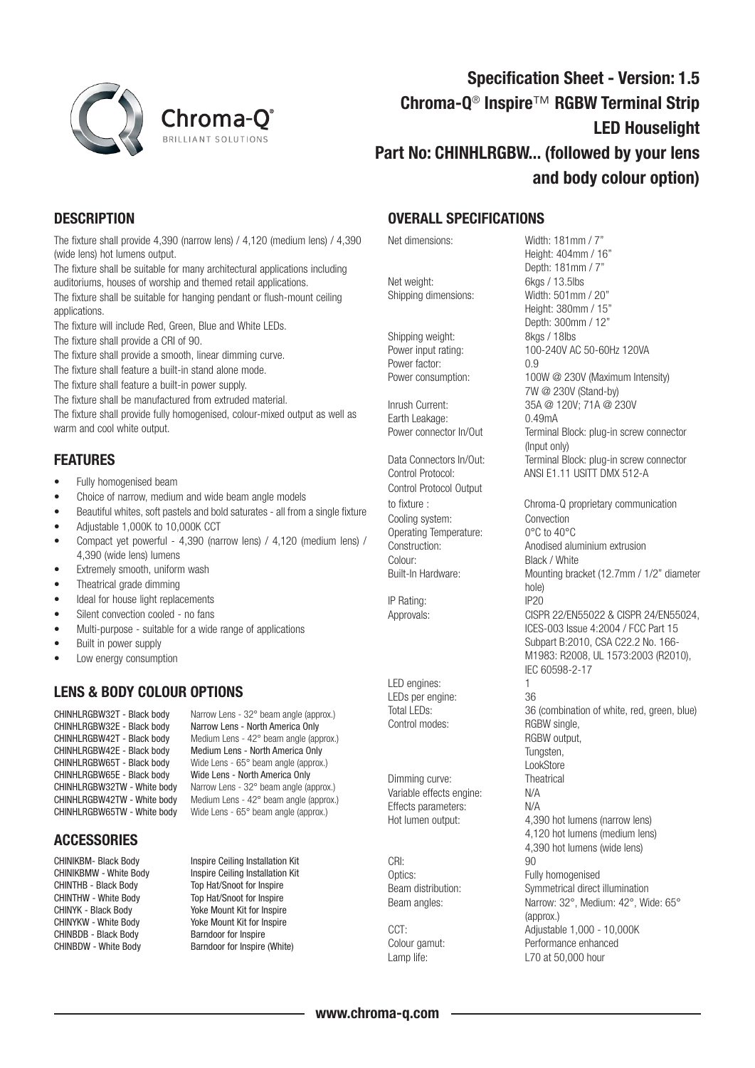

# Specification Sheet - Version: 1.5 Chroma-Q® Inspire™ RGBW Terminal Strip LED Houselight Part No: CHINHLRGBW... (followed by your lens and body colour option)

## **DESCRIPTION**

The fixture shall provide 4,390 (narrow lens) / 4,120 (medium lens) / 4,390 (wide lens) hot lumens output.

The fixture shall be suitable for many architectural applications including auditoriums, houses of worship and themed retail applications.

The fixture shall be suitable for hanging pendant or flush-mount ceiling applications.

The fixture will include Red, Green, Blue and White LEDs.

The fixture shall provide a CRI of 90.

The fixture shall provide a smooth, linear dimming curve.

The fixture shall feature a built-in stand alone mode.

The fixture shall feature a built-in power supply.

The fixture shall be manufactured from extruded material.

The fixture shall provide fully homogenised, colour-mixed output as well as warm and cool white output.

### FEATURES

- Fully homogenised beam
- Choice of narrow, medium and wide beam angle models
- Beautiful whites, soft pastels and bold saturates all from a single fixture
- Adjustable 1,000K to 10,000K CCT
- Compact yet powerful 4,390 (narrow lens) / 4,120 (medium lens) / 4,390 (wide lens) lumens
- Extremely smooth, uniform wash
- Theatrical grade dimming
- Ideal for house light replacements
- Silent convection cooled no fans
- Multi-purpose suitable for a wide range of applications
- Built in power supply
- Low energy consumption

#### LENS & BODY COLOUR OPTIONS

CHINHLRGBW65E - Black body Wide Lens - North America Only<br>CHINHLRGBW32TW - White body Narrow Lens - 32° beam angle (a

CHINHLRGBW32T - Black body Narrow Lens - 32° beam angle (approx.)<br>CHINHLRGBW32E - Black body Narrow Lens - North America Only CHINHLRGBW32E - Black body Narrow Lens - North America Only<br>CHINHLRGBW42T - Black body Medium Lens - 42° beam angle (ap Medium Lens - 42° beam angle (approx.) CHINHLRGBW42E - Black body Medium Lens - North America Only<br>CHINHLRGBW65T - Black body Wide Lens - 65° beam angle (approx Wide Lens -  $65^\circ$  beam angle (approx.) CHINHLRGBW32TW - White body Narrow Lens - 32° beam angle (approx.)<br>CHINHLRGBW42TW - White body Medium Lens - 42° beam angle (approx.) CHINHLRGBW42TW - White body Medium Lens -  $42^{\circ}$  beam angle (approx.)<br>CHINHLRGBW65TW - White body Wide Lens - 65° beam angle (approx.) Wide Lens -  $65^\circ$  beam angle (approx.)

#### **ACCESSORIES**

CHINTHB - Black Body Top Hat/Snoot for Inspire<br>CHINTHW - White Body Top Hat/Snoot for Inspire CHINYK - Black Body<br>
CHINYKW - White Body<br>
Yoke Mount Kit for Inspire CHINBDB - Black Body Barndoor for Inspire CHINBDW - White Body Barndoor for Inspire (White)

CHINIKBM- Black Body<br>
CHINIKBMW - White Body **Inspire Ceiling Installation Kit** Inspire Ceiling Installation Kit Top Hat/Snoot for Inspire Yoke Mount Kit for Inspire

#### OVERALL SPECIFICATIONS

Net weight: 6kgs / 13.5lbs Shipping dimensions: Width: 501mm / 20"

Shipping weight: 8kgs / 18lbs Power factor: 0.9

Earth Leakage: 0.49mA

Control Protocol Output Cooling system: Convection Operating Temperature: 0°C to 40°C Colour: Black / White

IP Rating: IP20

LED engines: 1 LEDs per engine: 36 Control modes: RGBW single,

Dimming curve: Theatrical Variable effects engine: N/A Effects parameters: N/A

CRI: 90

Net dimensions: Width: 181mm / 7" Height: 404mm / 16" Depth: 181mm / 7" Height: 380mm / 15" Depth: 300mm / 12" Power input rating: 100-240V AC 50-60Hz 120VA Power consumption: 100W @ 230V (Maximum Intensity) 7W @ 230V (Stand-by) Inrush Current: 35A @ 120V; 71A @ 230V Power connector In/Out Terminal Block: plug-in screw connector (Input only) Data Connectors In/Out: Terminal Block: plug-in screw connector Control Protocol: ANSI E1.11 USITT DMX 512-A to fixture : Chroma-Q proprietary communication Construction: Anodised aluminium extrusion Built-In Hardware: Mounting bracket (12.7mm / 1/2" diameter hole) Approvals: CISPR 22/EN55022 & CISPR 24/EN55024, ICES-003 Issue 4:2004 / FCC Part 15 Subpart B:2010, CSA C22.2 No. 166- M1983: R2008, UL 1573:2003 (R2010), IEC 60598-2-17 Total LEDs: 36 (combination of white, red, green, blue) RGBW output, Tungsten, **LookStore** Hot lumen output: 4,390 hot lumens (narrow lens) 4,120 hot lumens (medium lens) 4,390 hot lumens (wide lens) Optics: Fully homogenised Beam distribution: Symmetrical direct illumination Beam angles: Narrow: 32°, Medium: 42°, Wide: 65° (approx.) CCT: Adjustable 1,000 - 10,000K Colour gamut: Performance enhanced Lamp life: Lamp life: L70 at 50,000 hour